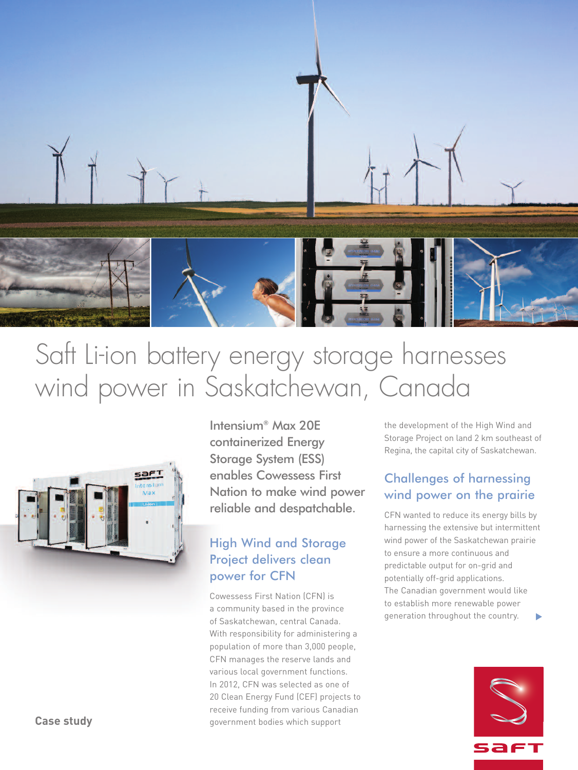

# Saft Li-ion battery energy storage harnesses wind power in Saskatchewan, Canada



Intensium® Max 20E containerized Energy Storage System (ESS) enables Cowessess First Nation to make wind power reliable and despatchable.

# High Wind and Storage Project delivers clean power for CFN

Cowessess First Nation (CFN) is a community based in the province of Saskatchewan, central Canada. With responsibility for administering a population of more than 3,000 people, CFN manages the reserve lands and various local government functions. In 2012, CFN was selected as one of 20 Clean Energy Fund (CEF) projects to receive funding from various Canadian government bodies which support

the development of the High Wind and Storage Project on land 2 km southeast of Regina, the capital city of Saskatchewan.

# Challenges of harnessing wind power on the prairie

CFN wanted to reduce its energy bills by harnessing the extensive but intermittent wind power of the Saskatchewan prairie to ensure a more continuous and predictable output for on-grid and potentially off-grid applications. The Canadian government would like to establish more renewable power generation throughout the country. **▼**



**Case study**